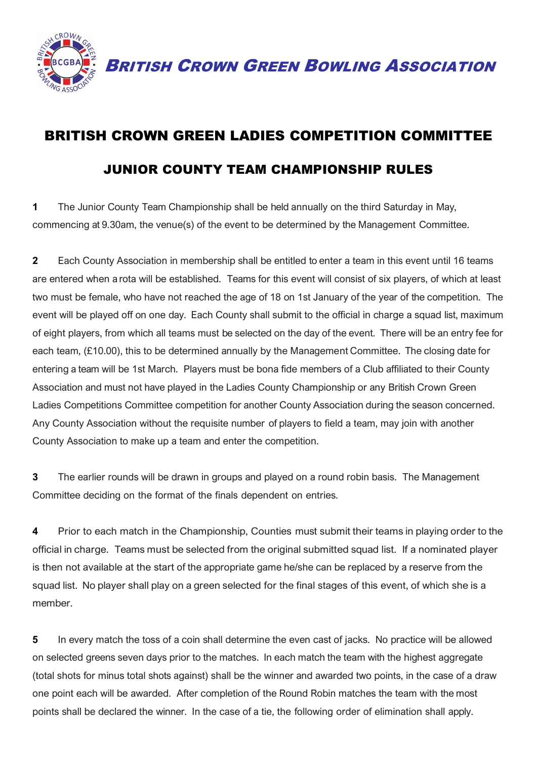

BRITISH CROWN GREEN BOWLING ASSOCIATION

## BRITISH CROWN GREEN LADIES COMPETITION COMMITTEE JUNIOR COUNTY TEAM CHAMPIONSHIP RULES

**1** The Junior County Team Championship shall be held annually on the third Saturday in May, commencing at 9.30am, the venue(s) of the event to be determined by the Management Committee.

**2** Each County Association in membership shall be entitled to enter a team in this event until 16 teams are entered when a rota will be established. Teams for this event will consist of six players, of which at least two must be female, who have not reached the age of 18 on 1st January of the year of the competition. The event will be played off on one day. Each County shall submit to the official in charge a squad list, maximum of eight players, from which all teams must be selected on the day of the event. There will be an entry fee for each team, (£10.00), this to be determined annually by the Management Committee. The closing date for entering a team will be 1st March. Players must be bona fide members of a Club affiliated to their County Association and must not have played in the Ladies County Championship or any British Crown Green Ladies Competitions Committee competition for another County Association during the season concerned. Any County Association without the requisite number of players to field a team, may join with another County Association to make up a team and enter the competition.

**3** The earlier rounds will be drawn in groups and played on a round robin basis. The Management Committee deciding on the format of the finals dependent on entries.

**4** Prior to each match in the Championship, Counties must submit their teams in playing order to the official in charge. Teams must be selected from the original submitted squad list. If a nominated player is then not available at the start of the appropriate game he/she can be replaced by a reserve from the squad list. No player shall play on a green selected for the final stages of this event, of which she is a member.

**5** In every match the toss of a coin shall determine the even cast of jacks. No practice will be allowed on selected greens seven days prior to the matches. In each match the team with the highest aggregate (total shots for minus total shots against) shall be the winner and awarded two points, in the case of a draw one point each will be awarded. After completion of the Round Robin matches the team with the most points shall be declared the winner. In the case of a tie, the following order of elimination shall apply.